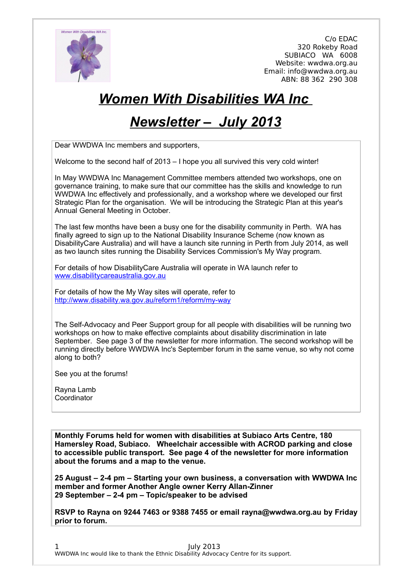

# *Women With Disabilities WA Inc*

# *Newsletter – July 2013*

Dear WWDWA Inc members and supporters,

Welcome to the second half of 2013 – I hope you all survived this very cold winter!

In May WWDWA Inc Management Committee members attended two workshops, one on governance training, to make sure that our committee has the skills and knowledge to run WWDWA Inc effectively and professionally, and a workshop where we developed our first Strategic Plan for the organisation. We will be introducing the Strategic Plan at this year's Annual General Meeting in October.

The last few months have been a busy one for the disability community in Perth. WA has finally agreed to sign up to the National Disability Insurance Scheme (now known as DisabilityCare Australia) and will have a launch site running in Perth from July 2014, as well as two launch sites running the Disability Services Commission's My Way program.

For details of how DisabilityCare Australia will operate in WA launch refer to [www.disabilitycareaustralia.gov.au](http://www.disabilitycareaustralia.gov.au/)

For details of how the My Way sites will operate, refer to <http://www.disability.wa.gov.au/reform1/reform/my-way>

The Self-Advocacy and Peer Support group for all people with disabilities will be running two workshops on how to make effective complaints about disability discrimination in late September. See page 3 of the newsletter for more information. The second workshop will be running directly before WWDWA Inc's September forum in the same venue, so why not come along to both?

See you at the forums!

Rayna Lamb Coordinator

**Monthly Forums held for women with disabilities at Subiaco Arts Centre, 180 Hamersley Road, Subiaco. Wheelchair accessible with ACROD parking and close to accessible public transport. See page 4 of the newsletter for more information about the forums and a map to the venue.**

**25 August – 2-4 pm – Starting your own business, a conversation with WWDWA Inc member and former Another Angle owner Kerry Allan-Zinner 29 September – 2-4 pm – Topic/speaker to be advised**

**RSVP to Rayna on 9244 7463 or 9388 7455 or email rayna@wwdwa.org.au by Friday prior to forum.**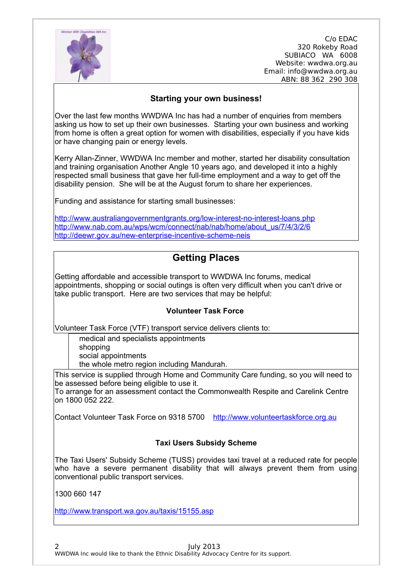

#### **Starting your own business!**

Over the last few months WWDWA Inc has had a number of enquiries from members asking us how to set up their own businesses. Starting your own business and working from home is often a great option for women with disabilities, especially if you have kids or have changing pain or energy levels.

Kerry Allan-Zinner, WWDWA Inc member and mother, started her disability consultation and training organisation Another Angle 10 years ago, and developed it into a highly respected small business that gave her full-time employment and a way to get off the disability pension. She will be at the August forum to share her experiences.

Funding and assistance for starting small businesses:

<http://www.australiangovernmentgrants.org/low-interest-no-interest-loans.php> [http://www.nab.com.au/wps/wcm/connect/nab/nab/home/about\\_us/7/4/3/2/6](http://www.nab.com.au/wps/wcm/connect/nab/nab/home/about_us/7/4/3/2/6) <http://deewr.gov.au/new-enterprise-incentive-scheme-neis>

## **Getting Places**

Getting affordable and accessible transport to WWDWA Inc forums, medical appointments, shopping or social outings is often very difficult when you can't drive or take public transport. Here are two services that may be helpful:

#### **Volunteer Task Force**

Volunteer Task Force (VTF) transport service delivers clients to:

medical and specialists appointments shopping social appointments the whole metro region including Mandurah.

This service is supplied through Home and Community Care funding, so you will need to be assessed before being eligible to use it.

To arrange for an assessment contact the Commonwealth Respite and Carelink Centre on 1800 052 222.

Contact Volunteer Task Force on 9318 5700 [http://www.volunteertaskforce.org.au](http://www.volunteertaskforce.org.au/)

#### **Taxi Users Subsidy Scheme**

The Taxi Users' Subsidy Scheme (TUSS) provides taxi travel at a reduced rate for people who have a severe permanent disability that will always prevent them from using conventional public transport services.

1300 660 147

<http://www.transport.wa.gov.au/taxis/15155.asp>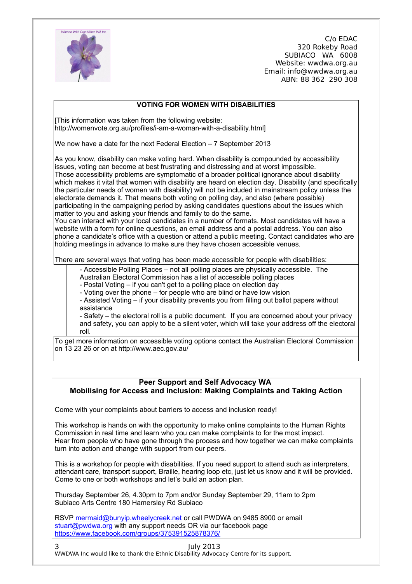

#### **VOTING FOR WOMEN WITH DISABILITIES**

[This information was taken from the following website: http://womenvote.org.au/profiles/i-am-a-woman-with-a-disability.html]

We now have a date for the next Federal Election – 7 September 2013

As you know, disability can make voting hard. When disability is compounded by accessibility issues, voting can become at best frustrating and distressing and at worst impossible. Those accessibility problems are symptomatic of a broader political ignorance about disability which makes it vital that women with disability are heard on election day. Disability (and specifically the particular needs of women with disability) will not be included in mainstream policy unless the electorate demands it. That means both voting on polling day, and also (where possible) participating in the campaigning period by asking candidates questions about the issues which matter to you and asking your friends and family to do the same.

You can interact with your local candidates in a number of formats. Most candidates will have a website with a form for online questions, an email address and a postal address. You can also phone a candidate's office with a question or attend a public meeting. Contact candidates who are holding meetings in advance to make sure they have chosen accessible venues.

There are several ways that voting has been made accessible for people with disabilities:

- Accessible Polling Places – not all polling places are physically accessible. The

Australian Electoral Commission has a list of accessible polling places

- Postal Voting – if you can't get to a polling place on election day

- Voting over the phone – for people who are blind or have low vision

- Assisted Voting – if your disability prevents you from filling out ballot papers without assistance

- Safety – the electoral roll is a public document. If you are concerned about your privacy and safety, you can apply to be a silent voter, which will take your address off the electoral roll.

To get more information on accessible voting options contact the Australian Electoral Commission on 13 23 26 or on at http://www.aec.gov.au/

### **Peer Support and Self Advocacy WA Mobilising for Access and Inclusion: Making Complaints and Taking Action**

Come with your complaints about barriers to access and inclusion ready!

This workshop is hands on with the opportunity to make online complaints to the Human Rights Commission in real time and learn who you can make complaints to for the most impact. Hear from people who have gone through the process and how together we can make complaints turn into action and change with support from our peers.

This is a workshop for people with disabilities. If you need support to attend such as interpreters, attendant care, transport support, Braille, hearing loop etc, just let us know and it will be provided. Come to one or both workshops and let's build an action plan.

Thursday September 26, 4.30pm to 7pm and/or Sunday September 29, 11am to 2pm Subiaco Arts Centre 180 Hamersley Rd Subiaco

RSVP [mermaid@bunyip.wheelycreek.net](mailto:mermaid@bunyip.wheelycreek.net) or call PWDWA on 9485 8900 or email [stuart@pwdwa.org](mailto:stuart@pwdwa.org) with any support needs OR via our facebook page <https://www.facebook.com/groups/375391525878376/>